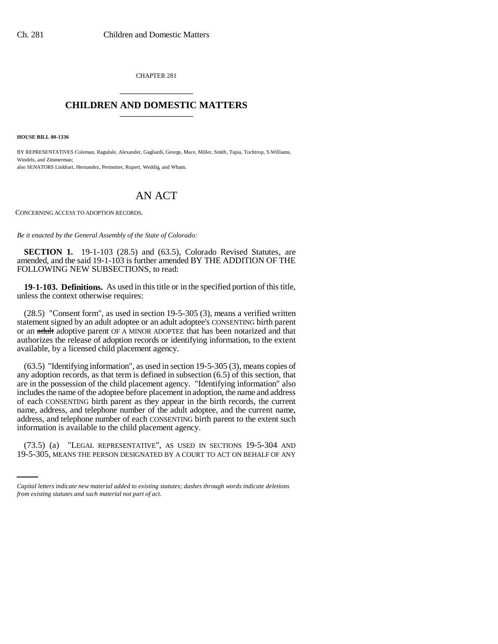CHAPTER 281 \_\_\_\_\_\_\_\_\_\_\_\_\_\_\_

## **CHILDREN AND DOMESTIC MATTERS** \_\_\_\_\_\_\_\_\_\_\_\_\_\_\_

**HOUSE BILL 00-1336** 

BY REPRESENTATIVES Coleman, Ragsdale, Alexander, Gagliardi, George, Mace, Miller, Smith, Tapia, Tochtrop, S.Williams, Windels, and Zimmerman; also SENATORS Linkhart, Hernandez, Permutter, Rupert, Weddig, and Wham.

## AN ACT

CONCERNING ACCESS TO ADOPTION RECORDS.

*Be it enacted by the General Assembly of the State of Colorado:*

**SECTION 1.** 19-1-103 (28.5) and (63.5), Colorado Revised Statutes, are amended, and the said 19-1-103 is further amended BY THE ADDITION OF THE FOLLOWING NEW SUBSECTIONS, to read:

**19-1-103. Definitions.** As used in this title or in the specified portion of this title, unless the context otherwise requires:

(28.5) "Consent form", as used in section 19-5-305 (3), means a verified written statement signed by an adult adoptee or an adult adoptee's CONSENTING birth parent or an adult adoptive parent OF A MINOR ADOPTEE that has been notarized and that authorizes the release of adoption records or identifying information, to the extent available, by a licensed child placement agency.

information is available to the child placement agency. (63.5) "Identifying information", as used in section 19-5-305 (3), means copies of any adoption records, as that term is defined in subsection (6.5) of this section, that are in the possession of the child placement agency. "Identifying information" also includes the name of the adoptee before placement in adoption, the name and address of each CONSENTING birth parent as they appear in the birth records, the current name, address, and telephone number of the adult adoptee, and the current name, address, and telephone number of each CONSENTING birth parent to the extent such

(73.5) (a) "LEGAL REPRESENTATIVE", AS USED IN SECTIONS 19-5-304 AND 19-5-305, MEANS THE PERSON DESIGNATED BY A COURT TO ACT ON BEHALF OF ANY

*Capital letters indicate new material added to existing statutes; dashes through words indicate deletions from existing statutes and such material not part of act.*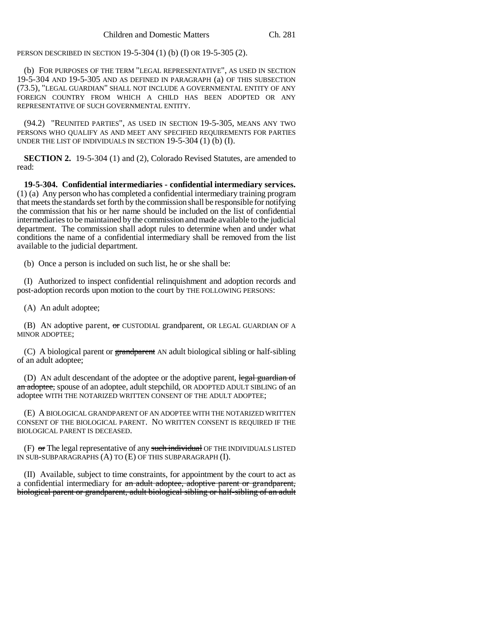PERSON DESCRIBED IN SECTION 19-5-304 (1) (b) (I) OR 19-5-305 (2).

(b) FOR PURPOSES OF THE TERM "LEGAL REPRESENTATIVE", AS USED IN SECTION 19-5-304 AND 19-5-305 AND AS DEFINED IN PARAGRAPH (a) OF THIS SUBSECTION (73.5), "LEGAL GUARDIAN" SHALL NOT INCLUDE A GOVERNMENTAL ENTITY OF ANY FOREIGN COUNTRY FROM WHICH A CHILD HAS BEEN ADOPTED OR ANY REPRESENTATIVE OF SUCH GOVERNMENTAL ENTITY.

(94.2) "REUNITED PARTIES", AS USED IN SECTION 19-5-305, MEANS ANY TWO PERSONS WHO QUALIFY AS AND MEET ANY SPECIFIED REQUIREMENTS FOR PARTIES UNDER THE LIST OF INDIVIDUALS IN SECTION 19-5-304 (1) (b) (I).

**SECTION 2.** 19-5-304 (1) and (2), Colorado Revised Statutes, are amended to read:

**19-5-304. Confidential intermediaries - confidential intermediary services.** (1) (a) Any person who has completed a confidential intermediary training program that meets the standards set forth by the commission shall be responsible for notifying the commission that his or her name should be included on the list of confidential intermediaries to be maintained by the commission and made available to the judicial department. The commission shall adopt rules to determine when and under what conditions the name of a confidential intermediary shall be removed from the list available to the judicial department.

(b) Once a person is included on such list, he or she shall be:

(I) Authorized to inspect confidential relinquishment and adoption records and post-adoption records upon motion to the court by THE FOLLOWING PERSONS:

(A) An adult adoptee;

(B) AN adoptive parent, or CUSTODIAL grandparent, OR LEGAL GUARDIAN OF A MINOR ADOPTEE;

(C) A biological parent or grandparent AN adult biological sibling or half-sibling of an adult adoptee;

(D) AN adult descendant of the adoptee or the adoptive parent, legal guardian of an adoptee, spouse of an adoptee, adult stepchild, OR ADOPTED ADULT SIBLING of an adoptee WITH THE NOTARIZED WRITTEN CONSENT OF THE ADULT ADOPTEE;

(E) A BIOLOGICAL GRANDPARENT OF AN ADOPTEE WITH THE NOTARIZED WRITTEN CONSENT OF THE BIOLOGICAL PARENT. NO WRITTEN CONSENT IS REQUIRED IF THE BIOLOGICAL PARENT IS DECEASED.

 $(F)$  or The legal representative of any such individual OF THE INDIVIDUALS LISTED IN SUB-SUBPARAGRAPHS (A) TO (E) OF THIS SUBPARAGRAPH (I).

(II) Available, subject to time constraints, for appointment by the court to act as a confidential intermediary for an adult adoptee, adoptive parent or grandparent, biological parent or grandparent, adult biological sibling or half-sibling of an adult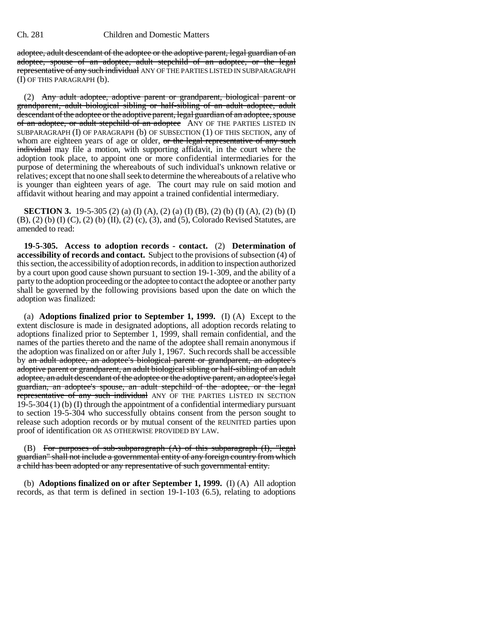## Ch. 281 Children and Domestic Matters

adoptee, adult descendant of the adoptee or the adoptive parent, legal guardian of an adoptee, spouse of an adoptee, adult stepchild of an adoptee, or the legal representative of any such individual ANY OF THE PARTIES LISTED IN SUBPARAGRAPH (I) OF THIS PARAGRAPH (b).

(2) Any adult adoptee, adoptive parent or grandparent, biological parent or grandparent, adult biological sibling or half-sibling of an adult adoptee, adult descendant of the adoptee or the adoptive parent, legal guardian of an adoptee, spouse of an adoptee, or adult stepchild of an adoptee ANY OF THE PARTIES LISTED IN SUBPARAGRAPH (I) OF PARAGRAPH (b) OF SUBSECTION (1) OF THIS SECTION, any of whom are eighteen years of age or older, or the legal representative of any such individual may file a motion, with supporting affidavit, in the court where the adoption took place, to appoint one or more confidential intermediaries for the purpose of determining the whereabouts of such individual's unknown relative or relatives; except that no one shall seek to determine the whereabouts of a relative who is younger than eighteen years of age. The court may rule on said motion and affidavit without hearing and may appoint a trained confidential intermediary.

**SECTION 3.** 19-5-305 (2) (a) (I) (A), (2) (a) (I) (B), (2) (b) (I) (A), (2) (b) (I) (B), (2) (b) (I) (C), (2) (b) (II), (2) (c), (3), and (5), Colorado Revised Statutes, are amended to read:

**19-5-305. Access to adoption records - contact.** (2) **Determination of accessibility of records and contact.** Subject to the provisions of subsection (4) of this section, the accessibility of adoption records, in addition to inspection authorized by a court upon good cause shown pursuant to section 19-1-309, and the ability of a party to the adoption proceeding or the adoptee to contact the adoptee or another party shall be governed by the following provisions based upon the date on which the adoption was finalized:

(a) **Adoptions finalized prior to September 1, 1999.** (I) (A) Except to the extent disclosure is made in designated adoptions, all adoption records relating to adoptions finalized prior to September 1, 1999, shall remain confidential, and the names of the parties thereto and the name of the adoptee shall remain anonymous if the adoption was finalized on or after July 1, 1967. Such records shall be accessible by an adult adoptee, an adoptee's biological parent or grandparent, an adoptee's adoptive parent or grandparent, an adult biological sibling or half-sibling of an adult adoptee, an adult descendant of the adoptee or the adoptive parent, an adoptee's legal guardian, an adoptee's spouse, an adult stepchild of the adoptee, or the legal representative of any such individual ANY OF THE PARTIES LISTED IN SECTION 19-5-304 (1) (b) (I) through the appointment of a confidential intermediary pursuant to section 19-5-304 who successfully obtains consent from the person sought to release such adoption records or by mutual consent of the REUNITED parties upon proof of identification OR AS OTHERWISE PROVIDED BY LAW.

(B) For purposes of sub-subparagraph  $(A)$  of this subparagraph  $(I)$ , "legal guardian" shall not include a governmental entity of any foreign country from which a child has been adopted or any representative of such governmental entity.

(b) **Adoptions finalized on or after September 1, 1999.** (I) (A) All adoption records, as that term is defined in section 19-1-103 (6.5), relating to adoptions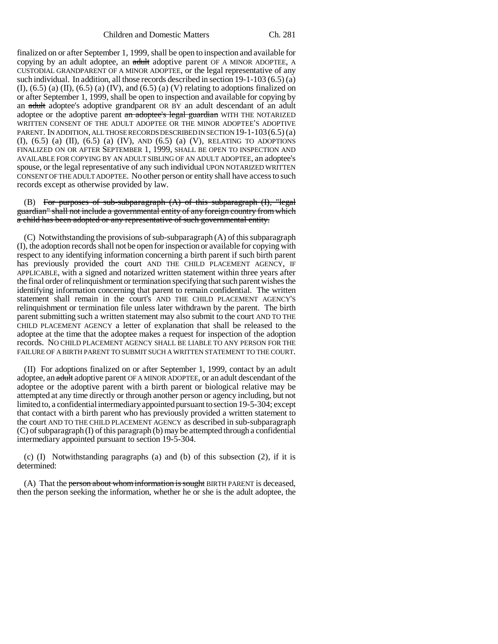finalized on or after September 1, 1999, shall be open to inspection and available for copying by an adult adoptee, an adult adoptive parent OF A MINOR ADOPTEE, A CUSTODIAL GRANDPARENT OF A MINOR ADOPTEE, or the legal representative of any such individual. In addition, all those records described in section 19-1-103 (6.5) (a)  $(I)$ ,  $(6.5)$   $(I)$ ,  $(I)$ ,  $(6.5)$   $(I)$ ,  $(IV)$ , and  $(6.5)$   $(I)$   $(I)$  relating to adoptions finalized on or after September 1, 1999, shall be open to inspection and available for copying by an adult adoptee's adoptive grandparent OR BY an adult descendant of an adult adoptee or the adoptive parent an adoptee's legal guardian WITH THE NOTARIZED WRITTEN CONSENT OF THE ADULT ADOPTEE OR THE MINOR ADOPTEE'S ADOPTIVE PARENT. IN ADDITION, ALL THOSE RECORDS DESCRIBED IN SECTION 19-1-103 (6.5) (a) (I), (6.5) (a) (II), (6.5) (a) (IV), AND (6.5) (a) (V), RELATING TO ADOPTIONS FINALIZED ON OR AFTER SEPTEMBER 1, 1999, SHALL BE OPEN TO INSPECTION AND AVAILABLE FOR COPYING BY AN ADULT SIBLING OF AN ADULT ADOPTEE, an adoptee's spouse, or the legal representative of any such individual UPON NOTARIZED WRITTEN CONSENT OF THE ADULT ADOPTEE. No other person or entity shall have access to such records except as otherwise provided by law.

(B) For purposes of sub-subparagraph  $(A)$  of this subparagraph  $(I)$ , "legal guardian" shall not include a governmental entity of any foreign country from which a child has been adopted or any representative of such governmental entity.

(C) Notwithstanding the provisions of sub-subparagraph (A) of this subparagraph (I), the adoption records shall not be open for inspection or available for copying with respect to any identifying information concerning a birth parent if such birth parent has previously provided the court AND THE CHILD PLACEMENT AGENCY, IF APPLICABLE, with a signed and notarized written statement within three years after the final order of relinquishment or termination specifying that such parent wishes the identifying information concerning that parent to remain confidential. The written statement shall remain in the court's AND THE CHILD PLACEMENT AGENCY'S relinquishment or termination file unless later withdrawn by the parent. The birth parent submitting such a written statement may also submit to the court AND TO THE CHILD PLACEMENT AGENCY a letter of explanation that shall be released to the adoptee at the time that the adoptee makes a request for inspection of the adoption records. NO CHILD PLACEMENT AGENCY SHALL BE LIABLE TO ANY PERSON FOR THE FAILURE OF A BIRTH PARENT TO SUBMIT SUCH A WRITTEN STATEMENT TO THE COURT.

(II) For adoptions finalized on or after September 1, 1999, contact by an adult adoptee, an adult adoptive parent OF A MINOR ADOPTEE, or an adult descendant of the adoptee or the adoptive parent with a birth parent or biological relative may be attempted at any time directly or through another person or agency including, but not limited to, a confidential intermediary appointed pursuant to section 19-5-304; except that contact with a birth parent who has previously provided a written statement to the court AND TO THE CHILD PLACEMENT AGENCY as described in sub-subparagraph (C) of subparagraph (I) of this paragraph (b) may be attempted through a confidential intermediary appointed pursuant to section 19-5-304.

(c)  $(I)$  Notwithstanding paragraphs  $(a)$  and  $(b)$  of this subsection  $(2)$ , if it is determined:

(A) That the person about whom information is sought BIRTH PARENT is deceased, then the person seeking the information, whether he or she is the adult adoptee, the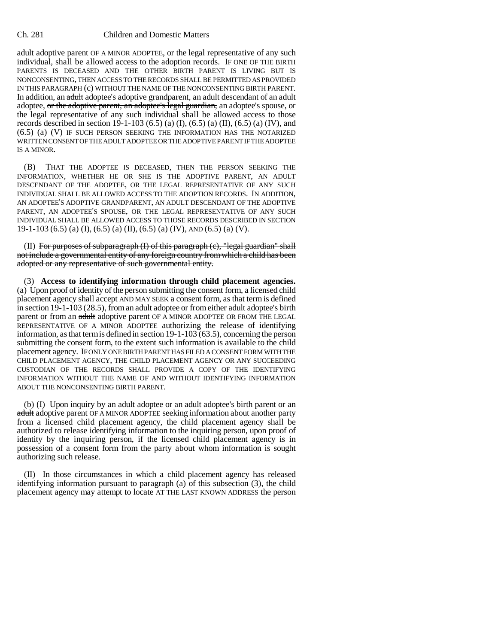## Ch. 281 Children and Domestic Matters

adult adoptive parent OF A MINOR ADOPTEE, or the legal representative of any such individual, shall be allowed access to the adoption records. IF ONE OF THE BIRTH PARENTS IS DECEASED AND THE OTHER BIRTH PARENT IS LIVING BUT IS NONCONSENTING, THEN ACCESS TO THE RECORDS SHALL BE PERMITTED AS PROVIDED IN THIS PARAGRAPH (c) WITHOUT THE NAME OF THE NONCONSENTING BIRTH PARENT. In addition, an adult adoptee's adoptive grandparent, an adult descendant of an adult adoptee, or the adoptive parent, an adoptee's legal guardian, an adoptee's spouse, or the legal representative of any such individual shall be allowed access to those records described in section 19-1-103 (6.5) (a) (I), (6.5) (a) (II), (6.5) (a) (IV), and (6.5) (a) (V) IF SUCH PERSON SEEKING THE INFORMATION HAS THE NOTARIZED WRITTEN CONSENT OF THE ADULT ADOPTEE OR THE ADOPTIVE PARENT IF THE ADOPTEE IS A MINOR.

(B) THAT THE ADOPTEE IS DECEASED, THEN THE PERSON SEEKING THE INFORMATION, WHETHER HE OR SHE IS THE ADOPTIVE PARENT, AN ADULT DESCENDANT OF THE ADOPTEE, OR THE LEGAL REPRESENTATIVE OF ANY SUCH INDIVIDUAL SHALL BE ALLOWED ACCESS TO THE ADOPTION RECORDS. IN ADDITION, AN ADOPTEE'S ADOPTIVE GRANDPARENT, AN ADULT DESCENDANT OF THE ADOPTIVE PARENT, AN ADOPTEE'S SPOUSE, OR THE LEGAL REPRESENTATIVE OF ANY SUCH INDIVIDUAL SHALL BE ALLOWED ACCESS TO THOSE RECORDS DESCRIBED IN SECTION 19-1-103 (6.5) (a) (I), (6.5) (a) (II), (6.5) (a) (IV), AND (6.5) (a) (V).

(II) For purposes of subparagraph (I) of this paragraph (c), "legal guardian" shall not include a governmental entity of any foreign country from which a child has been adopted or any representative of such governmental entity.

(3) **Access to identifying information through child placement agencies.** (a) Upon proof of identity of the person submitting the consent form, a licensed child placement agency shall accept AND MAY SEEK a consent form, as that term is defined in section 19-1-103 (28.5), from an adult adoptee or from either adult adoptee's birth parent or from an adult adoptive parent OF A MINOR ADOPTEE OR FROM THE LEGAL REPRESENTATIVE OF A MINOR ADOPTEE authorizing the release of identifying information, as that term is defined in section 19-1-103 (63.5), concerning the person submitting the consent form, to the extent such information is available to the child placement agency. IF ONLY ONE BIRTH PARENT HAS FILED A CONSENT FORM WITH THE CHILD PLACEMENT AGENCY, THE CHILD PLACEMENT AGENCY OR ANY SUCCEEDING CUSTODIAN OF THE RECORDS SHALL PROVIDE A COPY OF THE IDENTIFYING INFORMATION WITHOUT THE NAME OF AND WITHOUT IDENTIFYING INFORMATION ABOUT THE NONCONSENTING BIRTH PARENT.

(b) (I) Upon inquiry by an adult adoptee or an adult adoptee's birth parent or an adult adoptive parent OF A MINOR ADOPTEE seeking information about another party from a licensed child placement agency, the child placement agency shall be authorized to release identifying information to the inquiring person, upon proof of identity by the inquiring person, if the licensed child placement agency is in possession of a consent form from the party about whom information is sought authorizing such release.

(II) In those circumstances in which a child placement agency has released identifying information pursuant to paragraph (a) of this subsection (3), the child placement agency may attempt to locate AT THE LAST KNOWN ADDRESS the person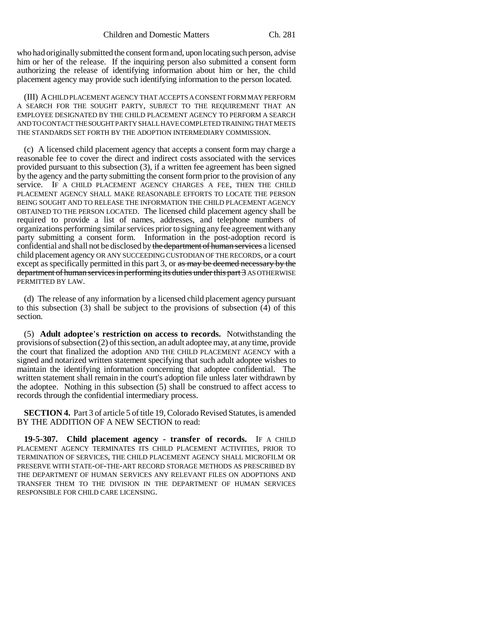who had originally submitted the consent form and, upon locating such person, advise him or her of the release. If the inquiring person also submitted a consent form authorizing the release of identifying information about him or her, the child placement agency may provide such identifying information to the person located.

(III) A CHILD PLACEMENT AGENCY THAT ACCEPTS A CONSENT FORM MAY PERFORM A SEARCH FOR THE SOUGHT PARTY, SUBJECT TO THE REQUIREMENT THAT AN EMPLOYEE DESIGNATED BY THE CHILD PLACEMENT AGENCY TO PERFORM A SEARCH AND TO CONTACT THE SOUGHT PARTY SHALL HAVE COMPLETED TRAINING THAT MEETS THE STANDARDS SET FORTH BY THE ADOPTION INTERMEDIARY COMMISSION.

(c) A licensed child placement agency that accepts a consent form may charge a reasonable fee to cover the direct and indirect costs associated with the services provided pursuant to this subsection (3), if a written fee agreement has been signed by the agency and the party submitting the consent form prior to the provision of any service. IF A CHILD PLACEMENT AGENCY CHARGES A FEE, THEN THE CHILD PLACEMENT AGENCY SHALL MAKE REASONABLE EFFORTS TO LOCATE THE PERSON BEING SOUGHT AND TO RELEASE THE INFORMATION THE CHILD PLACEMENT AGENCY OBTAINED TO THE PERSON LOCATED. The licensed child placement agency shall be required to provide a list of names, addresses, and telephone numbers of organizations performing similar services prior to signing any fee agreement with any party submitting a consent form. Information in the post-adoption record is confidential and shall not be disclosed by the department of human services a licensed child placement agency OR ANY SUCCEEDING CUSTODIAN OF THE RECORDS, or a court except as specifically permitted in this part 3, or as may be deemed necessary by the department of human services in performing its duties under this part 3 AS OTHERWISE PERMITTED BY LAW.

(d) The release of any information by a licensed child placement agency pursuant to this subsection (3) shall be subject to the provisions of subsection (4) of this section.

(5) **Adult adoptee's restriction on access to records.** Notwithstanding the provisions of subsection (2) of this section, an adult adoptee may, at any time, provide the court that finalized the adoption AND THE CHILD PLACEMENT AGENCY with a signed and notarized written statement specifying that such adult adoptee wishes to maintain the identifying information concerning that adoptee confidential. The written statement shall remain in the court's adoption file unless later withdrawn by the adoptee. Nothing in this subsection (5) shall be construed to affect access to records through the confidential intermediary process.

**SECTION 4.** Part 3 of article 5 of title 19, Colorado Revised Statutes, is amended BY THE ADDITION OF A NEW SECTION to read:

**19-5-307. Child placement agency - transfer of records.** IF A CHILD PLACEMENT AGENCY TERMINATES ITS CHILD PLACEMENT ACTIVITIES, PRIOR TO TERMINATION OF SERVICES, THE CHILD PLACEMENT AGENCY SHALL MICROFILM OR PRESERVE WITH STATE-OF-THE-ART RECORD STORAGE METHODS AS PRESCRIBED BY THE DEPARTMENT OF HUMAN SERVICES ANY RELEVANT FILES ON ADOPTIONS AND TRANSFER THEM TO THE DIVISION IN THE DEPARTMENT OF HUMAN SERVICES RESPONSIBLE FOR CHILD CARE LICENSING.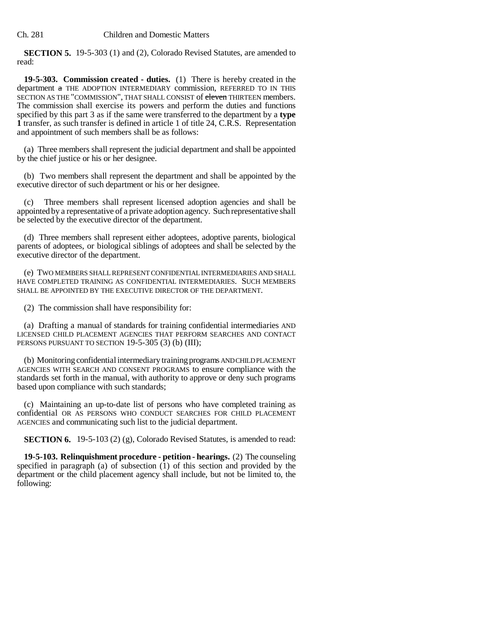**SECTION 5.** 19-5-303 (1) and (2), Colorado Revised Statutes, are amended to read:

**19-5-303. Commission created - duties.** (1) There is hereby created in the department a THE ADOPTION INTERMEDIARY commission, REFERRED TO IN THIS SECTION AS THE "COMMISSION", THAT SHALL CONSIST of eleven THIRTEEN members. The commission shall exercise its powers and perform the duties and functions specified by this part 3 as if the same were transferred to the department by a **type 1** transfer, as such transfer is defined in article 1 of title 24, C.R.S. Representation and appointment of such members shall be as follows:

(a) Three members shall represent the judicial department and shall be appointed by the chief justice or his or her designee.

(b) Two members shall represent the department and shall be appointed by the executive director of such department or his or her designee.

(c) Three members shall represent licensed adoption agencies and shall be appointed by a representative of a private adoption agency. Such representative shall be selected by the executive director of the department.

(d) Three members shall represent either adoptees, adoptive parents, biological parents of adoptees, or biological siblings of adoptees and shall be selected by the executive director of the department.

(e) TWO MEMBERS SHALL REPRESENT CONFIDENTIAL INTERMEDIARIES AND SHALL HAVE COMPLETED TRAINING AS CONFIDENTIAL INTERMEDIARIES. SUCH MEMBERS SHALL BE APPOINTED BY THE EXECUTIVE DIRECTOR OF THE DEPARTMENT.

(2) The commission shall have responsibility for:

(a) Drafting a manual of standards for training confidential intermediaries AND LICENSED CHILD PLACEMENT AGENCIES THAT PERFORM SEARCHES AND CONTACT PERSONS PURSUANT TO SECTION 19-5-305 (3) (b) (III);

(b) Monitoring confidential intermediary training programs AND CHILD PLACEMENT AGENCIES WITH SEARCH AND CONSENT PROGRAMS to ensure compliance with the standards set forth in the manual, with authority to approve or deny such programs based upon compliance with such standards;

(c) Maintaining an up-to-date list of persons who have completed training as confidential OR AS PERSONS WHO CONDUCT SEARCHES FOR CHILD PLACEMENT AGENCIES and communicating such list to the judicial department.

**SECTION 6.** 19-5-103 (2) (g), Colorado Revised Statutes, is amended to read:

**19-5-103. Relinquishment procedure - petition - hearings.** (2) The counseling specified in paragraph (a) of subsection  $(1)$  of this section and provided by the department or the child placement agency shall include, but not be limited to, the following: